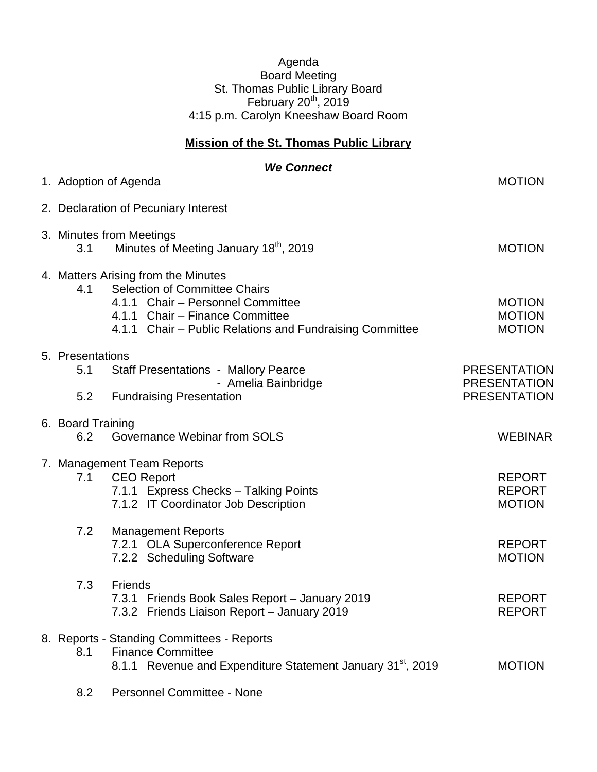## Agenda Board Meeting St. Thomas Public Library Board February  $20<sup>th</sup>$ , 2019 4:15 p.m. Carolyn Kneeshaw Board Room

## **Mission of the St. Thomas Public Library**

|                          | <b>We Connect</b>                                                                                                                                                                                               |                                                 |
|--------------------------|-----------------------------------------------------------------------------------------------------------------------------------------------------------------------------------------------------------------|-------------------------------------------------|
|                          | 1. Adoption of Agenda                                                                                                                                                                                           | <b>MOTION</b>                                   |
|                          | 2. Declaration of Pecuniary Interest                                                                                                                                                                            |                                                 |
| 3.1                      | 3. Minutes from Meetings<br>Minutes of Meeting January 18th, 2019                                                                                                                                               | <b>MOTION</b>                                   |
| 4.1                      | 4. Matters Arising from the Minutes<br><b>Selection of Committee Chairs</b><br>4.1.1 Chair - Personnel Committee<br>4.1.1 Chair - Finance Committee<br>4.1.1 Chair – Public Relations and Fundraising Committee | <b>MOTION</b><br><b>MOTION</b><br><b>MOTION</b> |
| 5. Presentations<br>5.1  | <b>Staff Presentations - Mallory Pearce</b><br>- Amelia Bainbridge                                                                                                                                              | <b>PRESENTATION</b><br><b>PRESENTATION</b>      |
| 5.2                      | <b>Fundraising Presentation</b>                                                                                                                                                                                 | <b>PRESENTATION</b>                             |
| 6. Board Training<br>6.2 | Governance Webinar from SOLS                                                                                                                                                                                    | <b>WEBINAR</b>                                  |
| 7.1                      | 7. Management Team Reports<br><b>CEO Report</b><br>7.1.1 Express Checks - Talking Points<br>7.1.2 IT Coordinator Job Description                                                                                | <b>REPORT</b><br><b>REPORT</b><br><b>MOTION</b> |
| 7.2                      | <b>Management Reports</b><br>7.2.1 OLA Superconference Report<br>7.2.2 Scheduling Software                                                                                                                      | <b>REPORT</b><br><b>MOTION</b>                  |
| 7.3                      | Friends<br>7.3.1 Friends Book Sales Report - January 2019<br>7.3.2 Friends Liaison Report - January 2019                                                                                                        | <b>REPORT</b><br><b>REPORT</b>                  |
| 8.1                      | 8. Reports - Standing Committees - Reports<br><b>Finance Committee</b><br>8.1.1 Revenue and Expenditure Statement January 31 <sup>st</sup> , 2019                                                               | <b>MOTION</b>                                   |
| 8.2                      | Personnel Committee - None                                                                                                                                                                                      |                                                 |